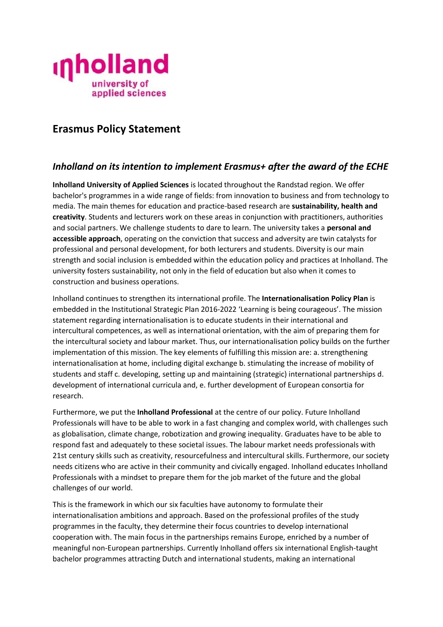

# **Erasmus Policy Statement**

## *Inholland on its intention to implement Erasmus+ after the award of the ECHE*

**Inholland University of Applied Sciences** is located throughout the Randstad region. We offer bachelor's programmes in a wide range of fields: from innovation to business and from technology to media. The main themes for education and practice-based research are **sustainability, health and creativity**. Students and lecturers work on these areas in conjunction with practitioners, authorities and social partners. We challenge students to dare to learn. The university takes a **personal and accessible approach**, operating on the conviction that success and adversity are twin catalysts for professional and personal development, for both lecturers and students. Diversity is our main strength and social inclusion is embedded within the education policy and practices at Inholland. The university fosters sustainability, not only in the field of education but also when it comes to construction and business operations.

Inholland continues to strengthen its international profile. The **Internationalisation Policy Plan** is embedded in the Institutional Strategic Plan 2016-2022 'Learning is being courageous'. The mission statement regarding internationalisation is to educate students in their international and intercultural competences, as well as international orientation, with the aim of preparing them for the intercultural society and labour market. Thus, our internationalisation policy builds on the further implementation of this mission. The key elements of fulfilling this mission are: a. strengthening internationalisation at home, including digital exchange b. stimulating the increase of mobility of students and staff c. developing, setting up and maintaining (strategic) international partnerships d. development of international curricula and, e. further development of European consortia for research.

Furthermore, we put the **Inholland Professional** at the centre of our policy. Future Inholland Professionals will have to be able to work in a fast changing and complex world, with challenges such as globalisation, climate change, robotization and growing inequality. Graduates have to be able to respond fast and adequately to these societal issues. The labour market needs professionals with 21st century skills such as creativity, resourcefulness and intercultural skills. Furthermore, our society needs citizens who are active in their community and civically engaged. Inholland educates Inholland Professionals with a mindset to prepare them for the job market of the future and the global challenges of our world.

This is the framework in which our six faculties have autonomy to formulate their internationalisation ambitions and approach. Based on the professional profiles of the study programmes in the faculty, they determine their focus countries to develop international cooperation with. The main focus in the partnerships remains Europe, enriched by a number of meaningful non-European partnerships. Currently Inholland offers six international English-taught bachelor programmes attracting Dutch and international students, making an international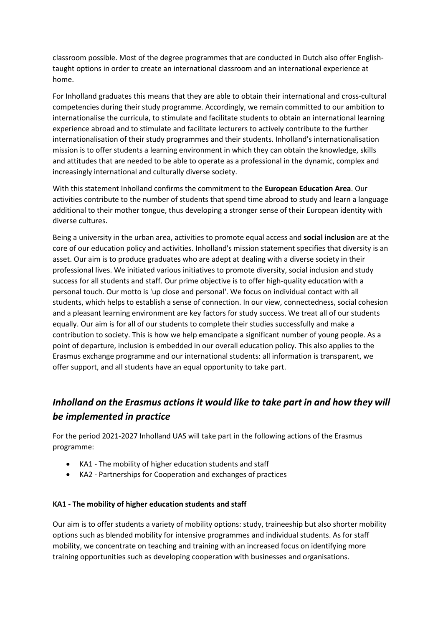classroom possible. Most of the degree programmes that are conducted in Dutch also offer Englishtaught options in order to create an international classroom and an international experience at home.

For Inholland graduates this means that they are able to obtain their international and cross-cultural competencies during their study programme. Accordingly, we remain committed to our ambition to internationalise the curricula, to stimulate and facilitate students to obtain an international learning experience abroad and to stimulate and facilitate lecturers to actively contribute to the further internationalisation of their study programmes and their students. Inholland's internationalisation mission is to offer students a learning environment in which they can obtain the knowledge, skills and attitudes that are needed to be able to operate as a professional in the dynamic, complex and increasingly international and culturally diverse society.

With this statement Inholland confirms the commitment to the **European Education Area**. Our activities contribute to the number of students that spend time abroad to study and learn a language additional to their mother tongue, thus developing a stronger sense of their European identity with diverse cultures.

Being a university in the urban area, activities to promote equal access and **social inclusion** are at the core of our education policy and activities. Inholland's mission statement specifies that diversity is an asset. Our aim is to produce graduates who are adept at dealing with a diverse society in their professional lives. We initiated various initiatives to promote diversity, social inclusion and study success for all students and staff. Our prime objective is to offer high-quality education with a personal touch. Our motto is 'up close and personal'. We focus on individual contact with all students, which helps to establish a sense of connection. In our view, connectedness, social cohesion and a pleasant learning environment are key factors for study success. We treat all of our students equally. Our aim is for all of our students to complete their studies successfully and make a contribution to society. This is how we help emancipate a significant number of young people. As a point of departure, inclusion is embedded in our overall education policy. This also applies to the Erasmus exchange programme and our international students: all information is transparent, we offer support, and all students have an equal opportunity to take part.

# *Inholland on the Erasmus actions it would like to take part in and how they will be implemented in practice*

For the period 2021-2027 Inholland UAS will take part in the following actions of the Erasmus programme:

- KA1 The mobility of higher education students and staff
- KA2 Partnerships for Cooperation and exchanges of practices

#### **KA1 - The mobility of higher education students and staff**

Our aim is to offer students a variety of mobility options: study, traineeship but also shorter mobility options such as blended mobility for intensive programmes and individual students. As for staff mobility, we concentrate on teaching and training with an increased focus on identifying more training opportunities such as developing cooperation with businesses and organisations.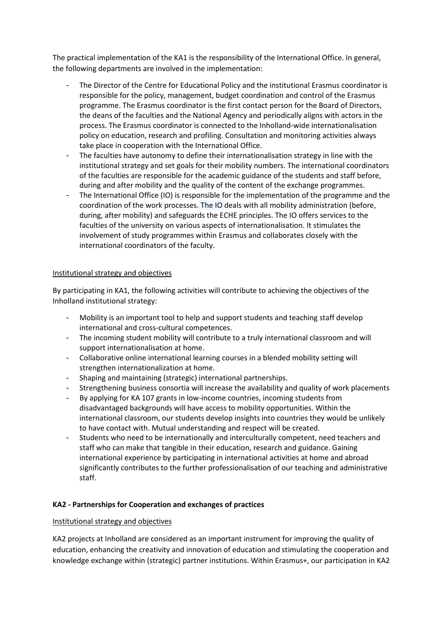The practical implementation of the KA1 is the responsibility of the International Office. In general, the following departments are involved in the implementation:

- The Director of the Centre for Educational Policy and the institutional Erasmus coordinator is responsible for the policy, management, budget coordination and control of the Erasmus programme. The Erasmus coordinator is the first contact person for the Board of Directors, the deans of the faculties and the National Agency and periodically aligns with actors in the process. The Erasmus coordinator is connected to the Inholland-wide internationalisation policy on education, research and profiling. Consultation and monitoring activities always take place in cooperation with the International Office.
- The faculties have autonomy to define their internationalisation strategy in line with the institutional strategy and set goals for their mobility numbers. The international coordinators of the faculties are responsible for the academic guidance of the students and staff before, during and after mobility and the quality of the content of the exchange programmes.
- The International Office (IO) is responsible for the implementation of the programme and the coordination of the work processes. The IO deals with all mobility administration (before, during, after mobility) and safeguards the ECHE principles. The IO offers services to the faculties of the university on various aspects of internationalisation. It stimulates the involvement of study programmes within Erasmus and collaborates closely with the international coordinators of the faculty.

#### Institutional strategy and objectives

By participating in KA1, the following activities will contribute to achieving the objectives of the Inholland institutional strategy:

- Mobility is an important tool to help and support students and teaching staff develop international and cross-cultural competences.
- The incoming student mobility will contribute to a truly international classroom and will support internationalisation at home.
- Collaborative online international learning courses in a blended mobility setting will strengthen internationalization at home.
- Shaping and maintaining (strategic) international partnerships.
- Strengthening business consortia will increase the availability and quality of work placements
- By applying for KA 107 grants in low-income countries, incoming students from disadvantaged backgrounds will have access to mobility opportunities. Within the international classroom, our students develop insights into countries they would be unlikely to have contact with. Mutual understanding and respect will be created.
- Students who need to be internationally and interculturally competent, need teachers and staff who can make that tangible in their education, research and guidance. Gaining international experience by participating in international activities at home and abroad significantly contributes to the further professionalisation of our teaching and administrative staff.

## **KA2 - Partnerships for Cooperation and exchanges of practices**

#### Institutional strategy and objectives

KA2 projects at Inholland are considered as an important instrument for improving the quality of education, enhancing the creativity and innovation of education and stimulating the cooperation and knowledge exchange within (strategic) partner institutions. Within Erasmus+, our participation in KA2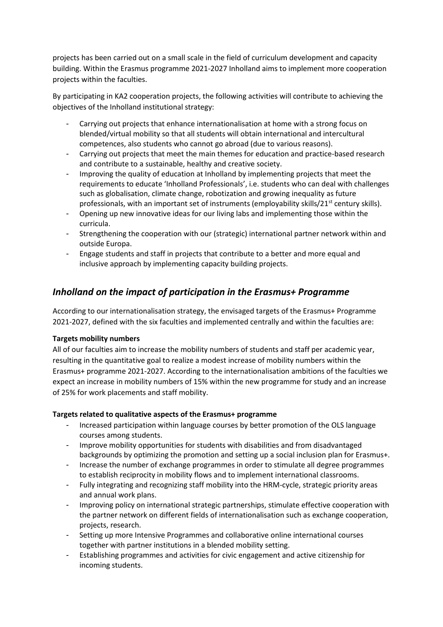projects has been carried out on a small scale in the field of curriculum development and capacity building. Within the Erasmus programme 2021-2027 Inholland aims to implement more cooperation projects within the faculties.

By participating in KA2 cooperation projects, the following activities will contribute to achieving the objectives of the Inholland institutional strategy:

- Carrying out projects that enhance internationalisation at home with a strong focus on blended/virtual mobility so that all students will obtain international and intercultural competences, also students who cannot go abroad (due to various reasons).
- Carrying out projects that meet the main themes for education and practice-based research and contribute to a sustainable, healthy and creative society.
- Improving the quality of education at Inholland by implementing projects that meet the requirements to educate 'Inholland Professionals', i.e. students who can deal with challenges such as globalisation, climate change, robotization and growing inequality as future professionals, with an important set of instruments (employability skills/ $21^{st}$  century skills).
- Opening up new innovative ideas for our living labs and implementing those within the curricula.
- Strengthening the cooperation with our (strategic) international partner network within and outside Europa.
- Engage students and staff in projects that contribute to a better and more equal and inclusive approach by implementing capacity building projects.

# *Inholland on the impact of participation in the Erasmus+ Programme*

According to our internationalisation strategy, the envisaged targets of the Erasmus+ Programme 2021-2027, defined with the six faculties and implemented centrally and within the faculties are:

## **Targets mobility numbers**

All of our faculties aim to increase the mobility numbers of students and staff per academic year, resulting in the quantitative goal to realize a modest increase of mobility numbers within the Erasmus+ programme 2021-2027. According to the internationalisation ambitions of the faculties we expect an increase in mobility numbers of 15% within the new programme for study and an increase of 25% for work placements and staff mobility.

## **Targets related to qualitative aspects of the Erasmus+ programme**

- Increased participation within language courses by better promotion of the OLS language courses among students.
- Improve mobility opportunities for students with disabilities and from disadvantaged backgrounds by optimizing the promotion and setting up a social inclusion plan for Erasmus+.
- Increase the number of exchange programmes in order to stimulate all degree programmes to establish reciprocity in mobility flows and to implement international classrooms.
- Fully integrating and recognizing staff mobility into the HRM-cycle, strategic priority areas and annual work plans.
- Improving policy on international strategic partnerships, stimulate effective cooperation with the partner network on different fields of internationalisation such as exchange cooperation, projects, research.
- Setting up more Intensive Programmes and collaborative online international courses together with partner institutions in a blended mobility setting.
- Establishing programmes and activities for civic engagement and active citizenship for incoming students.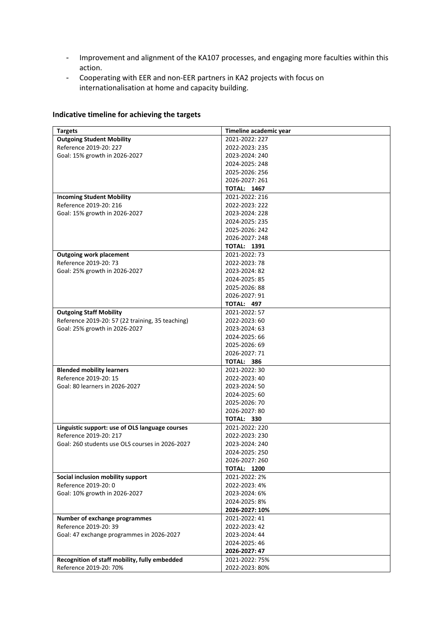- Improvement and alignment of the KA107 processes, and engaging more faculties within this action.
- Cooperating with EER and non-EER partners in KA2 projects with focus on internationalisation at home and capacity building.

|  | Indicative timeline for achieving the targets |
|--|-----------------------------------------------|
|--|-----------------------------------------------|

| <b>Targets</b>                                   | Timeline academic year |
|--------------------------------------------------|------------------------|
| <b>Outgoing Student Mobility</b>                 | 2021-2022: 227         |
| Reference 2019-20: 227                           | 2022-2023: 235         |
| Goal: 15% growth in 2026-2027                    | 2023-2024: 240         |
|                                                  | 2024-2025: 248         |
|                                                  | 2025-2026: 256         |
|                                                  | 2026-2027: 261         |
|                                                  | <b>TOTAL: 1467</b>     |
| <b>Incoming Student Mobility</b>                 | 2021-2022: 216         |
| Reference 2019-20: 216                           | 2022-2023: 222         |
| Goal: 15% growth in 2026-2027                    | 2023-2024: 228         |
|                                                  | 2024-2025: 235         |
|                                                  | 2025-2026: 242         |
|                                                  | 2026-2027: 248         |
|                                                  | <b>TOTAL: 1391</b>     |
| <b>Outgoing work placement</b>                   | 2021-2022: 73          |
| Reference 2019-20: 73                            | 2022-2023: 78          |
| Goal: 25% growth in 2026-2027                    | 2023-2024: 82          |
|                                                  | 2024-2025: 85          |
|                                                  | 2025-2026: 88          |
|                                                  | 2026-2027: 91          |
|                                                  | <b>TOTAL: 497</b>      |
| <b>Outgoing Staff Mobility</b>                   | 2021-2022: 57          |
| Reference 2019-20: 57 (22 training, 35 teaching) | 2022-2023:60           |
| Goal: 25% growth in 2026-2027                    | 2023-2024: 63          |
|                                                  | 2024-2025: 66          |
|                                                  | 2025-2026: 69          |
|                                                  | 2026-2027: 71          |
|                                                  | <b>TOTAL: 386</b>      |
| <b>Blended mobility learners</b>                 | 2021-2022: 30          |
| Reference 2019-20: 15                            | 2022-2023: 40          |
| Goal: 80 learners in 2026-2027                   | 2023-2024: 50          |
|                                                  | 2024-2025: 60          |
|                                                  | 2025-2026: 70          |
|                                                  | 2026-2027: 80          |
|                                                  | TOTAL: 330             |
| Linguistic support: use of OLS language courses  | 2021-2022: 220         |
| Reference 2019-20: 217                           | 2022-2023: 230         |
| Goal: 260 students use OLS courses in 2026-2027  | 2023-2024: 240         |
|                                                  | 2024-2025: 250         |
|                                                  | 2026-2027: 260         |
|                                                  | <b>TOTAL: 1200</b>     |
| Social inclusion mobility support                | 2021-2022: 2%          |
| Reference 2019-20: 0                             | 2022-2023: 4%          |
| Goal: 10% growth in 2026-2027                    | 2023-2024: 6%          |
|                                                  | 2024-2025: 8%          |
|                                                  | 2026-2027: 10%         |
| Number of exchange programmes                    | 2021-2022: 41          |
| Reference 2019-20: 39                            | 2022-2023: 42          |
| Goal: 47 exchange programmes in 2026-2027        | 2023-2024: 44          |
|                                                  | 2024-2025: 46          |
|                                                  | 2026-2027: 47          |
| Recognition of staff mobility, fully embedded    | 2021-2022: 75%         |
| Reference 2019-20: 70%                           | 2022-2023: 80%         |